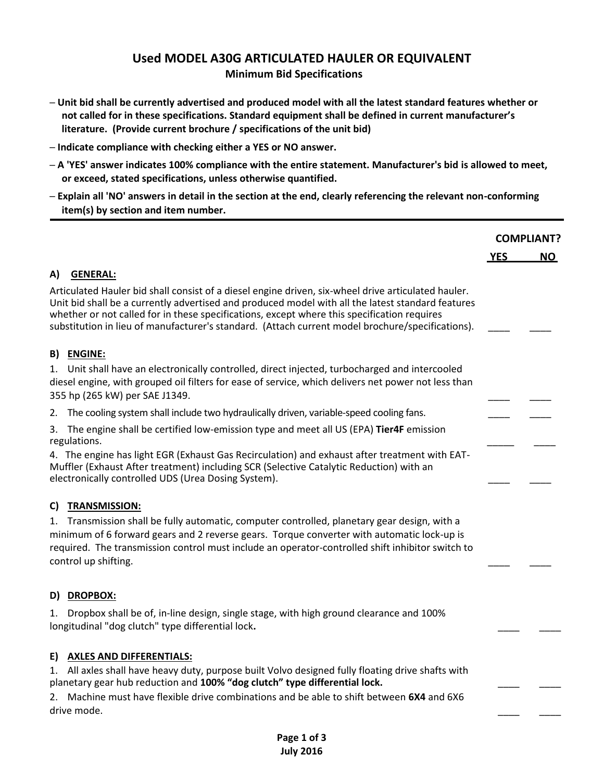# **Used MODEL A30G ARTICULATED HAULER OR EQUIVALENT Minimum Bid Specifications**

- **─ Unit bid shall be currently advertised and produced model with all the latest standard features whether or not called for in these specifications. Standard equipment shall be defined in current manufacturer's literature. (Provide current brochure / specifications of the unit bid)**
- **─ Indicate compliance with checking either a YES or NO answer.**
- **─ A 'YES' answer indicates 100% compliance with the entire statement. Manufacturer's bid is allowed to meet, or exceed, stated specifications, unless otherwise quantified.**
- **─ Explain all 'NO' answers in detail in the section at the end, clearly referencing the relevant non-conforming item(s) by section and item number.**

|                                                                                                                                                                                                                                                                                                                                                                                                             | <b>COMPLIANT?</b> |     |
|-------------------------------------------------------------------------------------------------------------------------------------------------------------------------------------------------------------------------------------------------------------------------------------------------------------------------------------------------------------------------------------------------------------|-------------------|-----|
|                                                                                                                                                                                                                                                                                                                                                                                                             | <b>YES</b>        | NO. |
| <b>GENERAL:</b><br>A)                                                                                                                                                                                                                                                                                                                                                                                       |                   |     |
| Articulated Hauler bid shall consist of a diesel engine driven, six-wheel drive articulated hauler.<br>Unit bid shall be a currently advertised and produced model with all the latest standard features<br>whether or not called for in these specifications, except where this specification requires<br>substitution in lieu of manufacturer's standard. (Attach current model brochure/specifications). |                   |     |
| <b>B) ENGINE:</b>                                                                                                                                                                                                                                                                                                                                                                                           |                   |     |
| 1. Unit shall have an electronically controlled, direct injected, turbocharged and intercooled<br>diesel engine, with grouped oil filters for ease of service, which delivers net power not less than<br>355 hp (265 kW) per SAE J1349.                                                                                                                                                                     |                   |     |
| 2. The cooling system shall include two hydraulically driven, variable-speed cooling fans.                                                                                                                                                                                                                                                                                                                  |                   |     |
| 3. The engine shall be certified low-emission type and meet all US (EPA) Tier4F emission<br>regulations.                                                                                                                                                                                                                                                                                                    |                   |     |
| 4. The engine has light EGR (Exhaust Gas Recirculation) and exhaust after treatment with EAT-<br>Muffler (Exhaust After treatment) including SCR (Selective Catalytic Reduction) with an<br>electronically controlled UDS (Urea Dosing System).                                                                                                                                                             |                   |     |
| C) TRANSMISSION:                                                                                                                                                                                                                                                                                                                                                                                            |                   |     |
| 1. Transmission shall be fully automatic, computer controlled, planetary gear design, with a<br>minimum of 6 forward gears and 2 reverse gears. Torque converter with automatic lock-up is<br>required. The transmission control must include an operator-controlled shift inhibitor switch to<br>control up shifting.                                                                                      |                   |     |
| D) DROPBOX:                                                                                                                                                                                                                                                                                                                                                                                                 |                   |     |
| Dropbox shall be of, in-line design, single stage, with high ground clearance and 100%<br>1.<br>longitudinal "dog clutch" type differential lock.                                                                                                                                                                                                                                                           |                   |     |
| E) AXLES AND DIFFERENTIALS:<br>All axles shall have heavy duty, purpose built Volvo designed fully floating drive shafts with<br>1.<br>planetary gear hub reduction and 100% "dog clutch" type differential lock.                                                                                                                                                                                           |                   |     |
| Machine must have flexible drive combinations and be able to shift between 6X4 and 6X6<br>2.<br>drive mode.                                                                                                                                                                                                                                                                                                 |                   |     |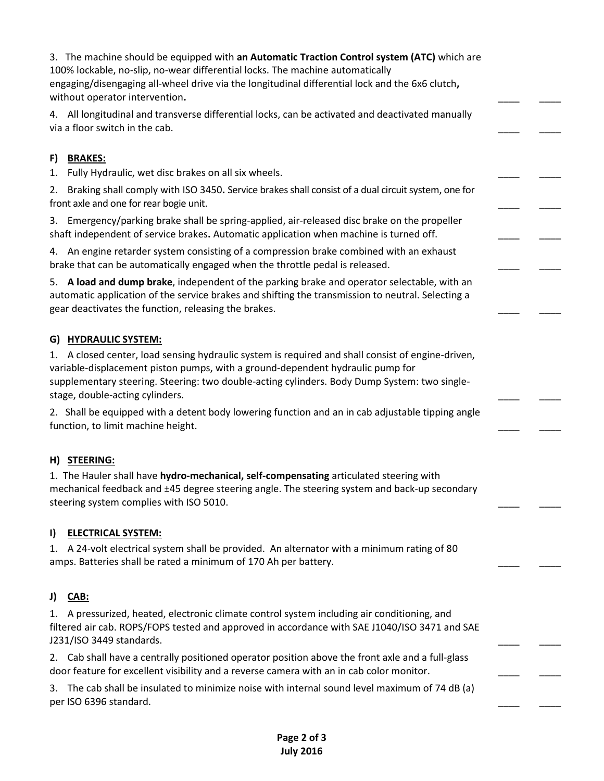3. The machine should be equipped with **an Automatic Traction Control system (ATC)** which are 100% lockable, no-slip, no-wear differential locks. The machine automatically engaging/disengaging all-wheel drive via the longitudinal differential lock and the 6x6 clutch**,**  without operator intervention. 4. All longitudinal and transverse differential locks, can be activated and deactivated manually via a floor switch in the cab. **F) BRAKES:** 1. Fully Hydraulic, wet disc brakes on all six wheels. 2. Braking shall comply with ISO 3450**.** Service brakes shall consist of a dual circuit system, one for front axle and one for rear bogie unit. 3. Emergency/parking brake shall be spring-applied, air-released disc brake on the propeller shaft independent of service brakes**.** Automatic application when machine is turned off.\_\_\_\_ \_\_\_\_ 4. An engine retarder system consisting of a compression brake combined with an exhaust brake that can be automatically engaged when the throttle pedal is released. 5. **A load and dump brake**, independent of the parking brake and operator selectable, with an automatic application of the service brakes and shifting the transmission to neutral. Selecting a gear deactivates the function, releasing the brakes. **G) HYDRAULIC SYSTEM:** 1. A closed center, load sensing hydraulic system is required and shall consist of engine-driven, variable-displacement piston pumps, with a ground-dependent hydraulic pump for supplementary steering. Steering: two double-acting cylinders. Body Dump System: two singlestage, double-acting cylinders. 2. Shall be equipped with a detent body lowering function and an in cab adjustable tipping angle function, to limit machine height. **H) STEERING:** 1. The Hauler shall have **hydro-mechanical, self-compensating** articulated steering with mechanical feedback and ±45 degree steering angle. The steering system and back-up secondary steering system complies with ISO 5010. **I) ELECTRICAL SYSTEM:** 1. A 24-volt electrical system shall be provided. An alternator with a minimum rating of 80 amps. Batteries shall be rated a minimum of 170 Ah per battery. **J) CAB:** 1. A pressurized, heated, electronic climate control system including air conditioning, and filtered air cab. ROPS/FOPS tested and approved in accordance with SAE J1040/ISO 3471 and SAE J231/ISO 3449 standards. 2. Cab shall have a centrally positioned operator position above the front axle and a full-glass door feature for excellent visibility and a reverse camera with an in cab color monitor. 3. The cab shall be insulated to minimize noise with internal sound level maximum of 74 dB (a) per ISO 6396 standard.